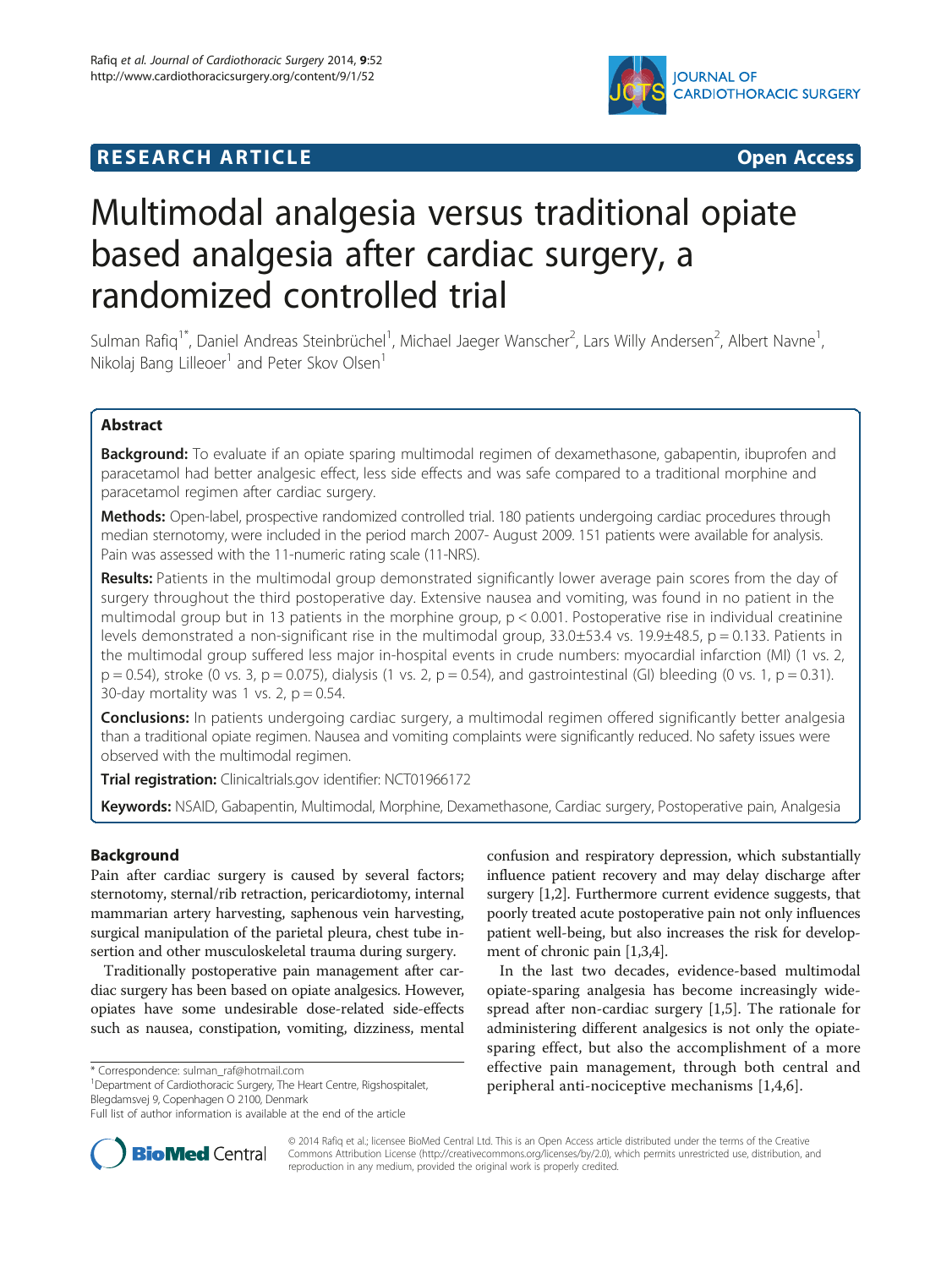



# Multimodal analgesia versus traditional opiate based analgesia after cardiac surgery, a randomized controlled trial

Sulman Rafiq<sup>1\*</sup>, Daniel Andreas Steinbrüchel<sup>1</sup>, Michael Jaeger Wanscher<sup>2</sup>, Lars Willy Andersen<sup>2</sup>, Albert Navne<sup>1</sup> , Nikolaj Bang Lilleoer<sup>1</sup> and Peter Skov Olsen<sup>1</sup>

# Abstract

Background: To evaluate if an opiate sparing multimodal regimen of dexamethasone, gabapentin, ibuprofen and paracetamol had better analgesic effect, less side effects and was safe compared to a traditional morphine and paracetamol regimen after cardiac surgery.

Methods: Open-label, prospective randomized controlled trial. 180 patients undergoing cardiac procedures through median sternotomy, were included in the period march 2007- August 2009. 151 patients were available for analysis. Pain was assessed with the 11-numeric rating scale (11-NRS).

Results: Patients in the multimodal group demonstrated significantly lower average pain scores from the day of surgery throughout the third postoperative day. Extensive nausea and vomiting, was found in no patient in the multimodal group but in 13 patients in the morphine group,  $p < 0.001$ . Postoperative rise in individual creatinine levels demonstrated a non-significant rise in the multimodal group,  $33.0\pm53.4$  vs.  $19.9\pm48.5$ , p = 0.133. Patients in the multimodal group suffered less major in-hospital events in crude numbers: myocardial infarction (MI) (1 vs. 2,  $p = 0.54$ ), stroke (0 vs. 3,  $p = 0.075$ ), dialysis (1 vs. 2,  $p = 0.54$ ), and gastrointestinal (GI) bleeding (0 vs. 1,  $p = 0.31$ ). 30-day mortality was 1 vs. 2,  $p = 0.54$ .

**Conclusions:** In patients undergoing cardiac surgery, a multimodal regimen offered significantly better analgesia than a traditional opiate regimen. Nausea and vomiting complaints were significantly reduced. No safety issues were observed with the multimodal regimen.

Trial registration: Clinicaltrials.gov identifier: [NCT01966172](http://www.clinicaltrials.gov/show/NCT01966172)

Keywords: NSAID, Gabapentin, Multimodal, Morphine, Dexamethasone, Cardiac surgery, Postoperative pain, Analgesia

# Background

Pain after cardiac surgery is caused by several factors; sternotomy, sternal/rib retraction, pericardiotomy, internal mammarian artery harvesting, saphenous vein harvesting, surgical manipulation of the parietal pleura, chest tube insertion and other musculoskeletal trauma during surgery.

Traditionally postoperative pain management after cardiac surgery has been based on opiate analgesics. However, opiates have some undesirable dose-related side-effects such as nausea, constipation, vomiting, dizziness, mental

\* Correspondence: [sulman\\_raf@hotmail.com](mailto:sulman_raf@hotmail.com) <sup>1</sup>

<sup>1</sup>Department of Cardiothoracic Surgery, The Heart Centre, Rigshospitalet, Blegdamsvej 9, Copenhagen O 2100, Denmark

confusion and respiratory depression, which substantially influence patient recovery and may delay discharge after surgery [\[1,2\]](#page-7-0). Furthermore current evidence suggests, that poorly treated acute postoperative pain not only influences patient well-being, but also increases the risk for development of chronic pain [\[1,3,4\]](#page-7-0).

In the last two decades, evidence-based multimodal opiate-sparing analgesia has become increasingly widespread after non-cardiac surgery [[1,5\]](#page-7-0). The rationale for administering different analgesics is not only the opiatesparing effect, but also the accomplishment of a more effective pain management, through both central and peripheral anti-nociceptive mechanisms [[1,4,6](#page-7-0)].



© 2014 Rafiq et al.; licensee BioMed Central Ltd. This is an Open Access article distributed under the terms of the Creative Commons Attribution License [\(http://creativecommons.org/licenses/by/2.0\)](http://creativecommons.org/licenses/by/2.0), which permits unrestricted use, distribution, and reproduction in any medium, provided the original work is properly credited.

Full list of author information is available at the end of the article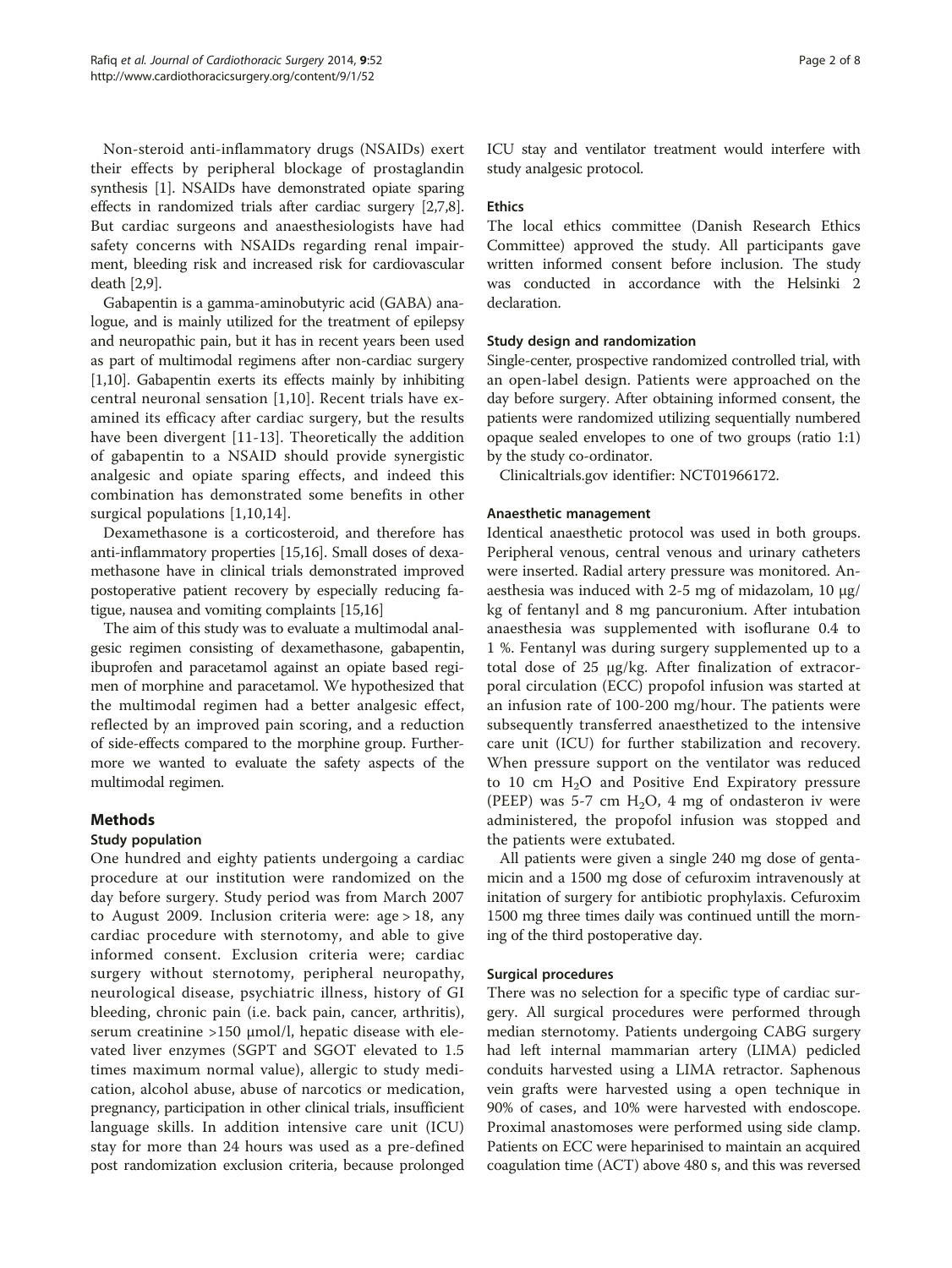Non-steroid anti-inflammatory drugs (NSAIDs) exert their effects by peripheral blockage of prostaglandin synthesis [[1\]](#page-7-0). NSAIDs have demonstrated opiate sparing effects in randomized trials after cardiac surgery [[2,7](#page-7-0),[8](#page-7-0)]. But cardiac surgeons and anaesthesiologists have had safety concerns with NSAIDs regarding renal impairment, bleeding risk and increased risk for cardiovascular death [\[2,9](#page-7-0)].

Gabapentin is a gamma-aminobutyric acid (GABA) analogue, and is mainly utilized for the treatment of epilepsy and neuropathic pain, but it has in recent years been used as part of multimodal regimens after non-cardiac surgery [[1,10](#page-7-0)]. Gabapentin exerts its effects mainly by inhibiting central neuronal sensation [[1,10](#page-7-0)]. Recent trials have examined its efficacy after cardiac surgery, but the results have been divergent [\[11](#page-7-0)-[13](#page-7-0)]. Theoretically the addition of gabapentin to a NSAID should provide synergistic analgesic and opiate sparing effects, and indeed this combination has demonstrated some benefits in other surgical populations [[1,10](#page-7-0),[14\]](#page-7-0).

Dexamethasone is a corticosteroid, and therefore has anti-inflammatory properties [\[15,16\]](#page-7-0). Small doses of dexamethasone have in clinical trials demonstrated improved postoperative patient recovery by especially reducing fatigue, nausea and vomiting complaints [[15](#page-7-0),[16](#page-7-0)]

The aim of this study was to evaluate a multimodal analgesic regimen consisting of dexamethasone, gabapentin, ibuprofen and paracetamol against an opiate based regimen of morphine and paracetamol. We hypothesized that the multimodal regimen had a better analgesic effect, reflected by an improved pain scoring, and a reduction of side-effects compared to the morphine group. Furthermore we wanted to evaluate the safety aspects of the multimodal regimen.

# Methods

# Study population

One hundred and eighty patients undergoing a cardiac procedure at our institution were randomized on the day before surgery. Study period was from March 2007 to August 2009. Inclusion criteria were: age > 18, any cardiac procedure with sternotomy, and able to give informed consent. Exclusion criteria were; cardiac surgery without sternotomy, peripheral neuropathy, neurological disease, psychiatric illness, history of GI bleeding, chronic pain (i.e. back pain, cancer, arthritis), serum creatinine >150 μmol/l, hepatic disease with elevated liver enzymes (SGPT and SGOT elevated to 1.5 times maximum normal value), allergic to study medication, alcohol abuse, abuse of narcotics or medication, pregnancy, participation in other clinical trials, insufficient language skills. In addition intensive care unit (ICU) stay for more than 24 hours was used as a pre-defined post randomization exclusion criteria, because prolonged ICU stay and ventilator treatment would interfere with study analgesic protocol.

# **Ethics**

The local ethics committee (Danish Research Ethics Committee) approved the study. All participants gave written informed consent before inclusion. The study was conducted in accordance with the Helsinki 2 declaration.

## Study design and randomization

Single-center, prospective randomized controlled trial, with an open-label design. Patients were approached on the day before surgery. After obtaining informed consent, the patients were randomized utilizing sequentially numbered opaque sealed envelopes to one of two groups (ratio 1:1) by the study co-ordinator.

Clinicaltrials.gov identifier: NCT01966172.

## Anaesthetic management

Identical anaesthetic protocol was used in both groups. Peripheral venous, central venous and urinary catheters were inserted. Radial artery pressure was monitored. Anaesthesia was induced with 2-5 mg of midazolam, 10 μg/ kg of fentanyl and 8 mg pancuronium. After intubation anaesthesia was supplemented with isoflurane 0.4 to 1 %. Fentanyl was during surgery supplemented up to a total dose of 25 μg/kg. After finalization of extracorporal circulation (ECC) propofol infusion was started at an infusion rate of 100-200 mg/hour. The patients were subsequently transferred anaesthetized to the intensive care unit (ICU) for further stabilization and recovery. When pressure support on the ventilator was reduced to 10 cm  $H<sub>2</sub>O$  and Positive End Expiratory pressure (PEEP) was 5-7 cm  $H_2O$ , 4 mg of ondasteron iv were administered, the propofol infusion was stopped and the patients were extubated.

All patients were given a single 240 mg dose of gentamicin and a 1500 mg dose of cefuroxim intravenously at initation of surgery for antibiotic prophylaxis. Cefuroxim 1500 mg three times daily was continued untill the morning of the third postoperative day.

# Surgical procedures

There was no selection for a specific type of cardiac surgery. All surgical procedures were performed through median sternotomy. Patients undergoing CABG surgery had left internal mammarian artery (LIMA) pedicled conduits harvested using a LIMA retractor. Saphenous vein grafts were harvested using a open technique in 90% of cases, and 10% were harvested with endoscope. Proximal anastomoses were performed using side clamp. Patients on ECC were heparinised to maintain an acquired coagulation time (ACT) above 480 s, and this was reversed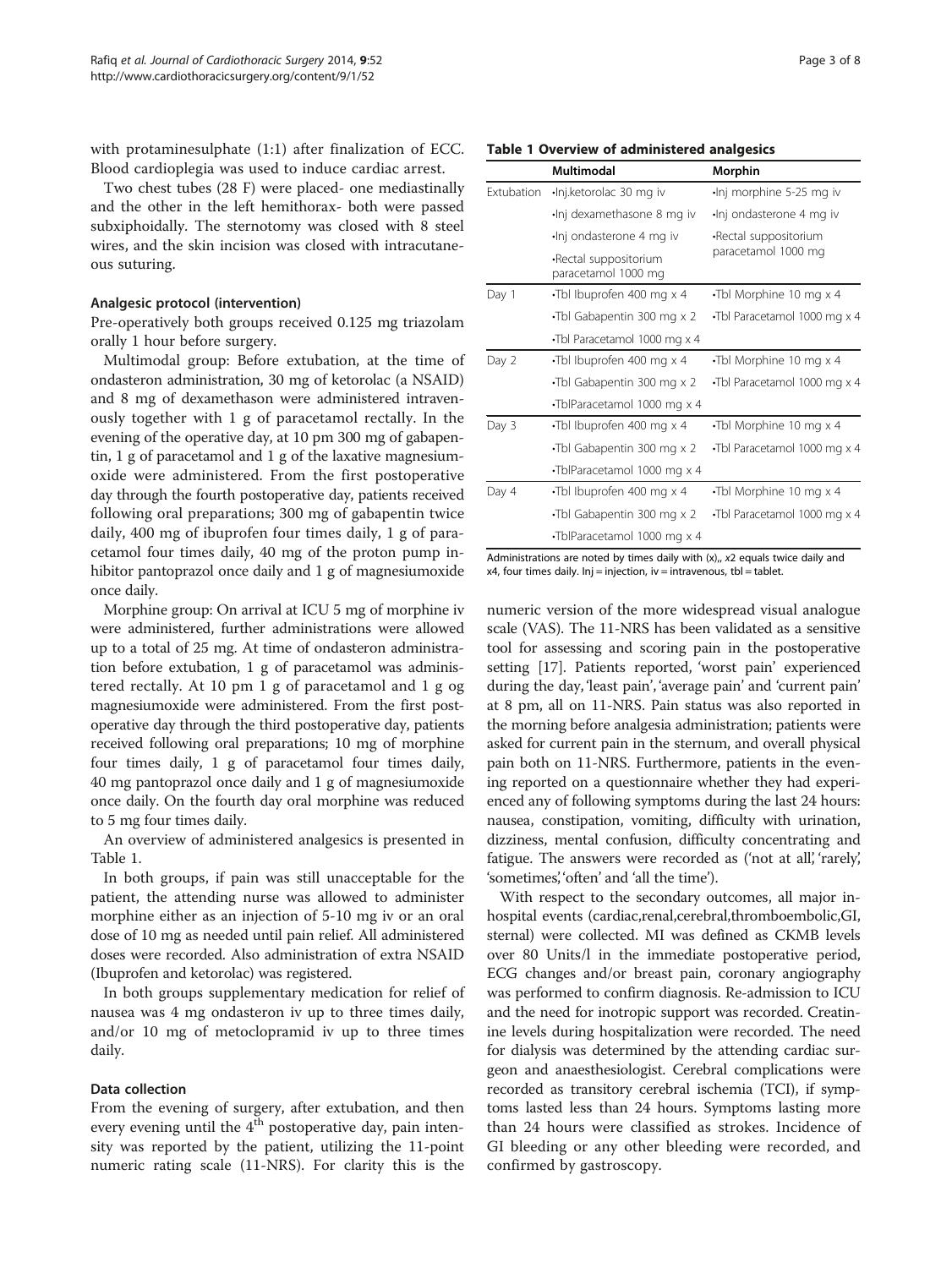with protaminesulphate (1:1) after finalization of ECC. Blood cardioplegia was used to induce cardiac arrest.

Two chest tubes (28 F) were placed- one mediastinally and the other in the left hemithorax- both were passed subxiphoidally. The sternotomy was closed with 8 steel wires, and the skin incision was closed with intracutaneous suturing.

#### Analgesic protocol (intervention)

Pre-operatively both groups received 0.125 mg triazolam orally 1 hour before surgery.

Multimodal group: Before extubation, at the time of ondasteron administration, 30 mg of ketorolac (a NSAID) and 8 mg of dexamethason were administered intravenously together with 1 g of paracetamol rectally. In the evening of the operative day, at 10 pm 300 mg of gabapentin, 1 g of paracetamol and 1 g of the laxative magnesiumoxide were administered. From the first postoperative day through the fourth postoperative day, patients received following oral preparations; 300 mg of gabapentin twice daily, 400 mg of ibuprofen four times daily, 1 g of paracetamol four times daily, 40 mg of the proton pump inhibitor pantoprazol once daily and 1 g of magnesiumoxide once daily.

Morphine group: On arrival at ICU 5 mg of morphine iv were administered, further administrations were allowed up to a total of 25 mg. At time of ondasteron administration before extubation, 1 g of paracetamol was administered rectally. At 10 pm 1 g of paracetamol and 1 g og magnesiumoxide were administered. From the first postoperative day through the third postoperative day, patients received following oral preparations; 10 mg of morphine four times daily, 1 g of paracetamol four times daily, 40 mg pantoprazol once daily and 1 g of magnesiumoxide once daily. On the fourth day oral morphine was reduced to 5 mg four times daily.

An overview of administered analgesics is presented in Table 1.

In both groups, if pain was still unacceptable for the patient, the attending nurse was allowed to administer morphine either as an injection of 5-10 mg iv or an oral dose of 10 mg as needed until pain relief. All administered doses were recorded. Also administration of extra NSAID (Ibuprofen and ketorolac) was registered.

In both groups supplementary medication for relief of nausea was 4 mg ondasteron iv up to three times daily, and/or 10 mg of metoclopramid iv up to three times daily.

## Data collection

From the evening of surgery, after extubation, and then every evening until the  $4<sup>th</sup>$  postoperative day, pain intensity was reported by the patient, utilizing the 11-point numeric rating scale (11-NRS). For clarity this is the

|                   | Multimodal                                   | Morphin                         |  |
|-------------------|----------------------------------------------|---------------------------------|--|
| <b>Extubation</b> | ·Inj.ketorolac 30 mg iv                      | $\cdot$ Inj morphine 5-25 mg iv |  |
|                   | Inj dexamethasone 8 mg iv-                   | ·Inj ondasterone 4 mg iv        |  |
|                   | Inj ondasterone 4 mg iv                      | -Rectal suppositorium           |  |
|                   | -Rectal suppositorium<br>paracetamol 1000 mg | paracetamol 1000 mg             |  |
| Day 1             | •Tbl Ibuprofen 400 mg x 4                    | Tbl Morphine 10 mg x 4          |  |
|                   | •Tbl Gabapentin 300 mg x 2                   | Tbl Paracetamol 1000 mg x 4     |  |
|                   | Tbl Paracetamol 1000 mg x 4                  |                                 |  |
| Day 2             | •Tbl Ibuprofen 400 mg x 4                    | •Tbl Morphine 10 mg x 4         |  |
|                   | •Tbl Gabapentin 300 mg x 2                   | Tbl Paracetamol 1000 mg x 4     |  |
|                   | •TblParacetamol 1000 mg x 4                  |                                 |  |
| Day 3             | •Tbl Ibuprofen 400 mg x 4                    | •Tbl Morphine 10 mg x 4         |  |
|                   | •Tbl Gabapentin 300 mg x 2                   | •Tbl Paracetamol 1000 mg x 4    |  |
|                   | •TblParacetamol 1000 mg x 4                  |                                 |  |
| Day 4             | $\cdot$ Tbl Ibuprofen 400 mg x 4             | •Tbl Morphine 10 mg x 4         |  |
|                   | •Tbl Gabapentin 300 mg x 2                   | •Tbl Paracetamol 1000 mg x 4    |  |
|                   | •TblParacetamol 1000 mg x 4                  |                                 |  |

Administrations are noted by times daily with  $(x)$ ,,  $x$ 2 equals twice daily and  $x4$ , four times daily. Inj = injection, iv = intravenous, tbl = tablet.

numeric version of the more widespread visual analogue scale (VAS). The 11-NRS has been validated as a sensitive tool for assessing and scoring pain in the postoperative setting [[17](#page-7-0)]. Patients reported, 'worst pain' experienced during the day, 'least pain', 'average pain' and 'current pain' at 8 pm, all on 11-NRS. Pain status was also reported in the morning before analgesia administration; patients were asked for current pain in the sternum, and overall physical pain both on 11-NRS. Furthermore, patients in the evening reported on a questionnaire whether they had experienced any of following symptoms during the last 24 hours: nausea, constipation, vomiting, difficulty with urination, dizziness, mental confusion, difficulty concentrating and fatigue. The answers were recorded as ('not at all, 'rarely', 'sometimes', 'often' and 'all the time').

With respect to the secondary outcomes, all major inhospital events (cardiac,renal,cerebral,thromboembolic,GI, sternal) were collected. MI was defined as CKMB levels over 80 Units/l in the immediate postoperative period, ECG changes and/or breast pain, coronary angiography was performed to confirm diagnosis. Re-admission to ICU and the need for inotropic support was recorded. Creatinine levels during hospitalization were recorded. The need for dialysis was determined by the attending cardiac surgeon and anaesthesiologist. Cerebral complications were recorded as transitory cerebral ischemia (TCI), if symptoms lasted less than 24 hours. Symptoms lasting more than 24 hours were classified as strokes. Incidence of GI bleeding or any other bleeding were recorded, and confirmed by gastroscopy.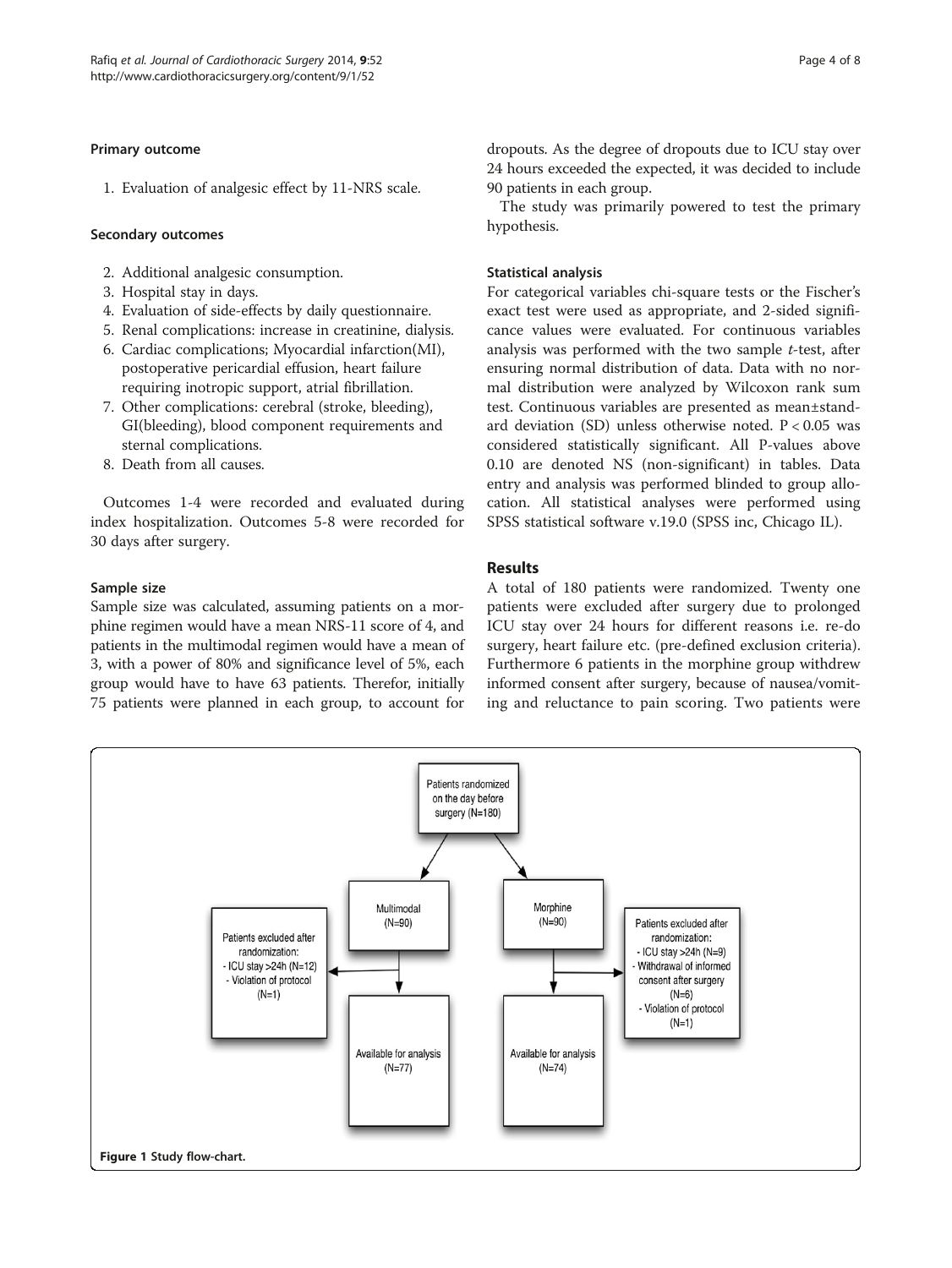## <span id="page-3-0"></span>Primary outcome

1. Evaluation of analgesic effect by 11-NRS scale.

## Secondary outcomes

- 2. Additional analgesic consumption.
- 3. Hospital stay in days.
- 4. Evaluation of side-effects by daily questionnaire.
- 5. Renal complications: increase in creatinine, dialysis.
- 6. Cardiac complications; Myocardial infarction(MI), postoperative pericardial effusion, heart failure requiring inotropic support, atrial fibrillation.
- 7. Other complications: cerebral (stroke, bleeding), GI(bleeding), blood component requirements and sternal complications.
- 8. Death from all causes.

Outcomes 1-4 were recorded and evaluated during index hospitalization. Outcomes 5-8 were recorded for 30 days after surgery.

## Sample size

Sample size was calculated, assuming patients on a morphine regimen would have a mean NRS-11 score of 4, and patients in the multimodal regimen would have a mean of 3, with a power of 80% and significance level of 5%, each group would have to have 63 patients. Therefor, initially 75 patients were planned in each group, to account for dropouts. As the degree of dropouts due to ICU stay over 24 hours exceeded the expected, it was decided to include 90 patients in each group.

The study was primarily powered to test the primary hypothesis.

## Statistical analysis

For categorical variables chi-square tests or the Fischer's exact test were used as appropriate, and 2-sided significance values were evaluated. For continuous variables analysis was performed with the two sample  $t$ -test, after ensuring normal distribution of data. Data with no normal distribution were analyzed by Wilcoxon rank sum test. Continuous variables are presented as mean±standard deviation (SD) unless otherwise noted.  $P < 0.05$  was considered statistically significant. All P-values above 0.10 are denoted NS (non-significant) in tables. Data entry and analysis was performed blinded to group allocation. All statistical analyses were performed using SPSS statistical software v.19.0 (SPSS inc, Chicago IL).

# Results

A total of 180 patients were randomized. Twenty one patients were excluded after surgery due to prolonged ICU stay over 24 hours for different reasons i.e. re-do surgery, heart failure etc. (pre-defined exclusion criteria). Furthermore 6 patients in the morphine group withdrew informed consent after surgery, because of nausea/vomiting and reluctance to pain scoring. Two patients were

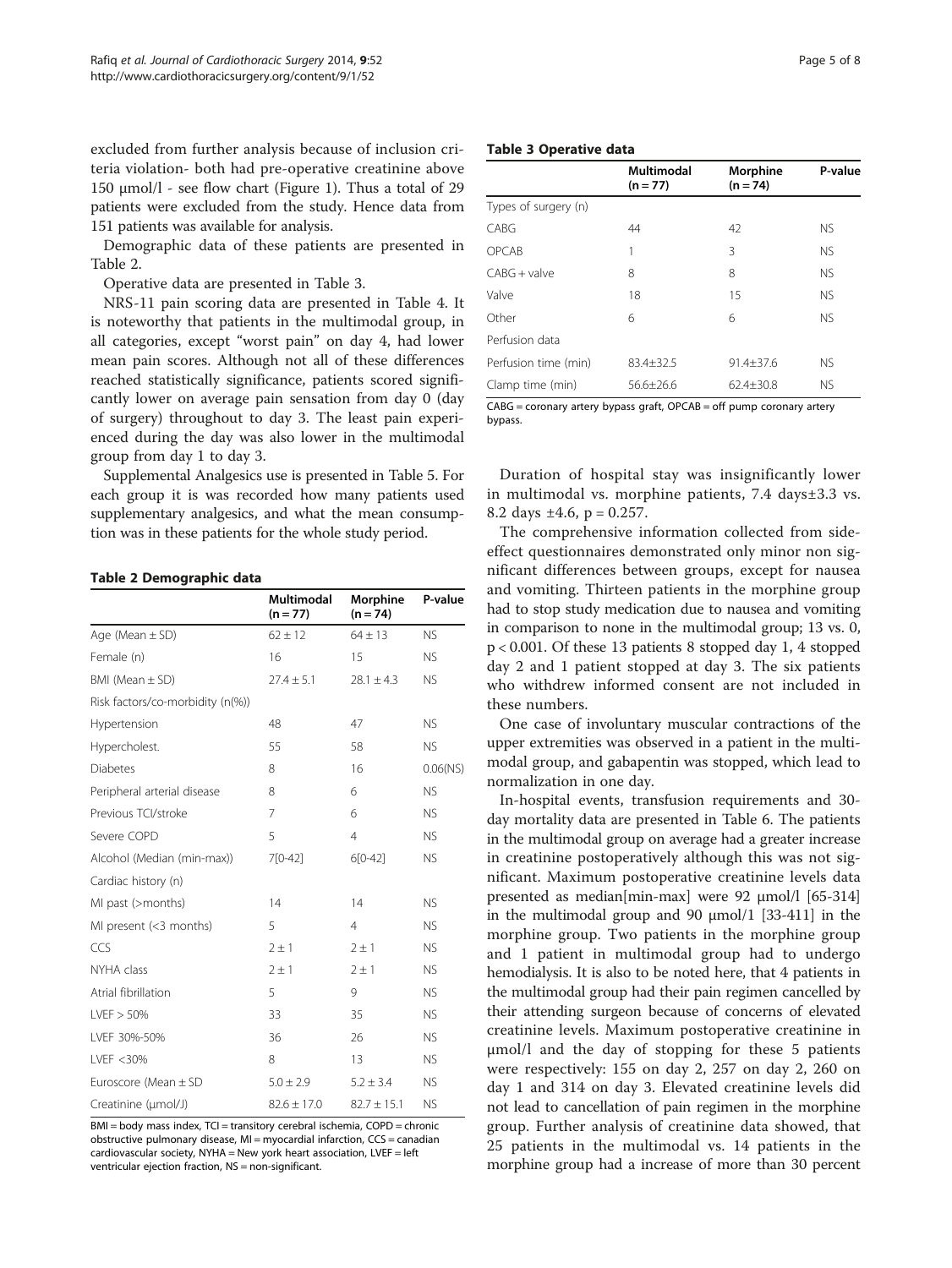excluded from further analysis because of inclusion criteria violation- both had pre-operative creatinine above 150 μmol/l - see flow chart (Figure [1](#page-3-0)). Thus a total of 29 patients were excluded from the study. Hence data from 151 patients was available for analysis.

Demographic data of these patients are presented in Table 2.

Operative data are presented in Table 3.

NRS-11 pain scoring data are presented in Table [4](#page-5-0). It is noteworthy that patients in the multimodal group, in all categories, except "worst pain" on day 4, had lower mean pain scores. Although not all of these differences reached statistically significance, patients scored significantly lower on average pain sensation from day 0 (day of surgery) throughout to day 3. The least pain experienced during the day was also lower in the multimodal group from day 1 to day 3.

Supplemental Analgesics use is presented in Table [5](#page-5-0). For each group it is was recorded how many patients used supplementary analgesics, and what the mean consumption was in these patients for the whole study period.

#### Table 2 Demographic data

|                                  | <b>Multimodal</b><br>$(n = 77)$ | Morphine<br>$(n = 74)$ | P-value     |
|----------------------------------|---------------------------------|------------------------|-------------|
| Age (Mean $\pm$ SD)              | $62 \pm 12$                     | $64 \pm 13$            | <b>NS</b>   |
| Female (n)                       | 16                              | 15                     | <b>NS</b>   |
| BMI (Mean $\pm$ SD)              | $27.4 \pm 5.1$                  | $28.1 \pm 4.3$         | <b>NS</b>   |
| Risk factors/co-morbidity (n(%)) |                                 |                        |             |
| Hypertension                     | 48                              | 47                     | <b>NS</b>   |
| Hypercholest.                    | 55                              | 58                     | <b>NS</b>   |
| <b>Diabetes</b>                  | 8                               | 16                     | $0.06$ (NS) |
| Peripheral arterial disease      | 8                               | 6                      | <b>NS</b>   |
| Previous TCI/stroke              | $\overline{7}$                  | 6                      | <b>NS</b>   |
| Severe COPD                      | 5                               | $\overline{4}$         | <b>NS</b>   |
| Alcohol (Median (min-max))       | 7[0-42]                         | $6[0-42]$              | <b>NS</b>   |
| Cardiac history (n)              |                                 |                        |             |
| MI past (>months)                | 14                              | 14                     | <b>NS</b>   |
| MI present (<3 months)           | 5                               | $\overline{4}$         | <b>NS</b>   |
| CCS                              | $2 \pm 1$                       | $2 \pm 1$              | <b>NS</b>   |
| NYHA class                       | $2 \pm 1$                       | $2 \pm 1$              | <b>NS</b>   |
| Atrial fibrillation              | 5                               | 9                      | <b>NS</b>   |
| LVEF > 50%                       | 33                              | 35                     | <b>NS</b>   |
| LVEF 30%-50%                     | 36                              | 26                     | <b>NS</b>   |
| I VFF < 30%                      | 8                               | 13                     | <b>NS</b>   |
| Euroscore (Mean $\pm$ SD         | $5.0 \pm 2.9$                   | $5.2 \pm 3.4$          | <b>NS</b>   |
| Creatinine (µmol/J)              | $82.6 \pm 17.0$                 | $82.7 \pm 15.1$        | <b>NS</b>   |

BMI = body mass index, TCI = transitory cerebral ischemia, COPD = chronic obstructive pulmonary disease, MI = myocardial infarction, CCS = canadian cardiovascular society, NYHA = New york heart association, LVEF = left ventricular ejection fraction, NS = non-significant.

## Table 3 Operative data

|                      | Multimodal<br>$(n = 77)$                                                                                 | Morphine<br>$(n = 74)$ | P-value   |
|----------------------|----------------------------------------------------------------------------------------------------------|------------------------|-----------|
| Types of surgery (n) |                                                                                                          |                        |           |
| CABG                 | 44                                                                                                       | 42                     | <b>NS</b> |
| OPCAB                | 1                                                                                                        | 3                      | <b>NS</b> |
| $CABG + value$       | 8                                                                                                        | 8                      | <b>NS</b> |
| Valve                | 18                                                                                                       | 15                     | <b>NS</b> |
| Other                | 6                                                                                                        | 6                      | <b>NS</b> |
| Perfusion data       |                                                                                                          |                        |           |
| Perfusion time (min) | 83.4±32.5                                                                                                | $91.4 + 37.6$          | <b>NS</b> |
| Clamp time (min)     | $56.6 \pm 26.6$                                                                                          | $62.4 \pm 30.8$        | <b>NS</b> |
| $\sim$ 0.0 $\sim$    | $\mathbf{C}$ . The same state is the state of $\mathbf{C}$ and $\mathbf{C}$ is the state of $\mathbf{C}$ |                        |           |

CABG = coronary artery bypass graft, OPCAB = off pump coronary artery bypass.

Duration of hospital stay was insignificantly lower in multimodal vs. morphine patients, 7.4 days±3.3 vs. 8.2 days  $\pm 4.6$ , p = 0.257.

The comprehensive information collected from sideeffect questionnaires demonstrated only minor non significant differences between groups, except for nausea and vomiting. Thirteen patients in the morphine group had to stop study medication due to nausea and vomiting in comparison to none in the multimodal group; 13 vs. 0, p < 0.001. Of these 13 patients 8 stopped day 1, 4 stopped day 2 and 1 patient stopped at day 3. The six patients who withdrew informed consent are not included in these numbers.

One case of involuntary muscular contractions of the upper extremities was observed in a patient in the multimodal group, and gabapentin was stopped, which lead to normalization in one day.

In-hospital events, transfusion requirements and 30 day mortality data are presented in Table [6.](#page-6-0) The patients in the multimodal group on average had a greater increase in creatinine postoperatively although this was not significant. Maximum postoperative creatinine levels data presented as median[min-max] were 92 μmol/l [65-314] in the multimodal group and 90  $\mu$ mol/1 [33-411] in the morphine group. Two patients in the morphine group and 1 patient in multimodal group had to undergo hemodialysis. It is also to be noted here, that 4 patients in the multimodal group had their pain regimen cancelled by their attending surgeon because of concerns of elevated creatinine levels. Maximum postoperative creatinine in μmol/l and the day of stopping for these 5 patients were respectively: 155 on day 2, 257 on day 2, 260 on day 1 and 314 on day 3. Elevated creatinine levels did not lead to cancellation of pain regimen in the morphine group. Further analysis of creatinine data showed, that 25 patients in the multimodal vs. 14 patients in the morphine group had a increase of more than 30 percent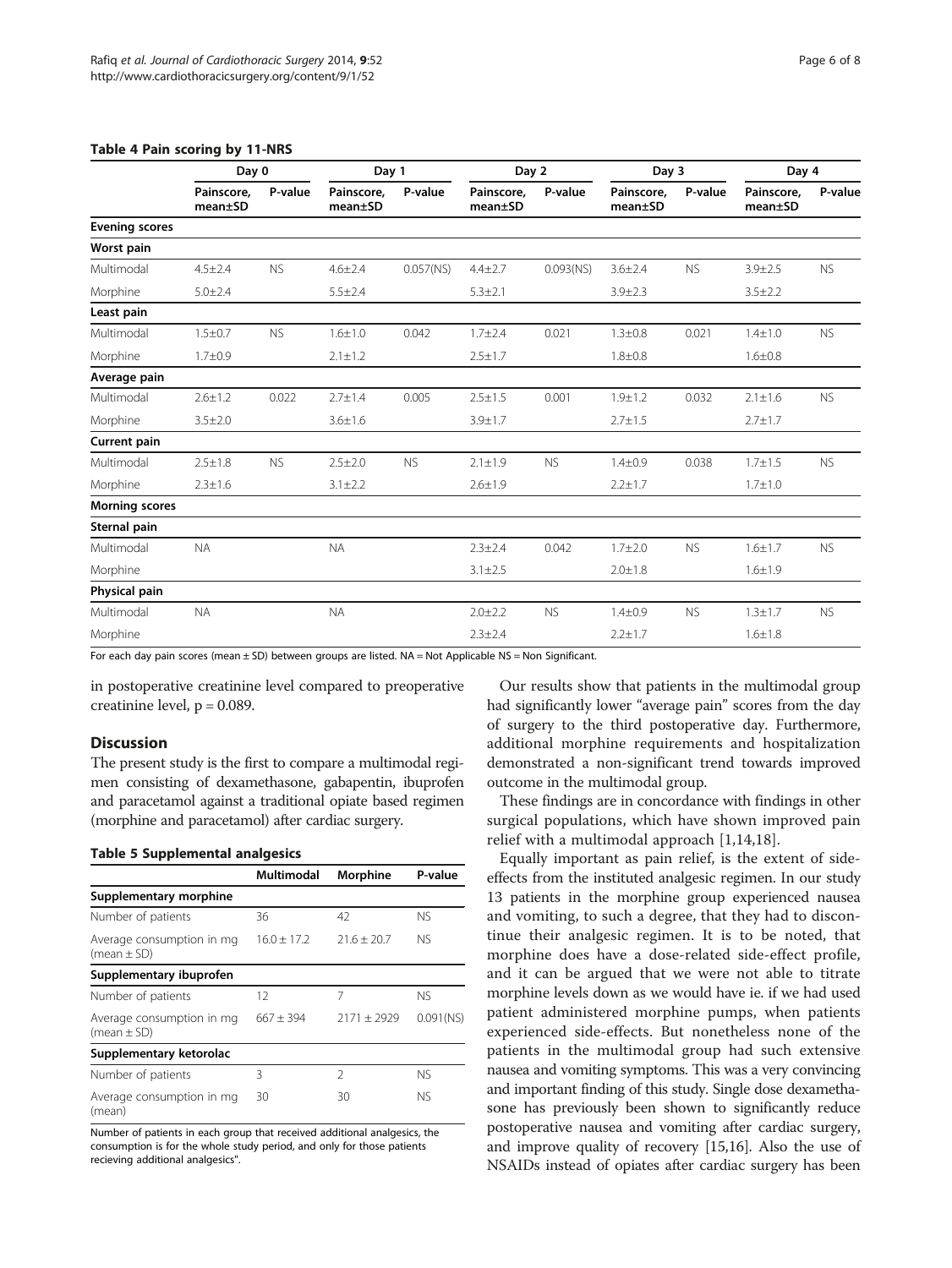|                       | Day 0                              |           | Day 1                              |              | Day 2                              |              | Day 3                 |           | Day 4                 |           |
|-----------------------|------------------------------------|-----------|------------------------------------|--------------|------------------------------------|--------------|-----------------------|-----------|-----------------------|-----------|
|                       | Painscore,<br>mean <sub>±</sub> SD | P-value   | Painscore,<br>mean <sub>±</sub> SD | P-value      | Painscore,<br>mean <sub>±</sub> SD | P-value      | Painscore,<br>mean±SD | P-value   | Painscore,<br>mean±SD | P-value   |
| <b>Evening scores</b> |                                    |           |                                    |              |                                    |              |                       |           |                       |           |
| Worst pain            |                                    |           |                                    |              |                                    |              |                       |           |                       |           |
| Multimodal            | $4.5 \pm 2.4$                      | <b>NS</b> | $4.6 \pm 2.4$                      | $0.057$ (NS) | $4.4 \pm 2.7$                      | $0.093$ (NS) | $3.6 \pm 2.4$         | <b>NS</b> | $3.9 \pm 2.5$         | <b>NS</b> |
| Morphine              | $5.0 \pm 2.4$                      |           | $5.5 \pm 2.4$                      |              | $5.3 \pm 2.1$                      |              | $3.9 \pm 2.3$         |           | $3.5 \pm 2.2$         |           |
| Least pain            |                                    |           |                                    |              |                                    |              |                       |           |                       |           |
| Multimodal            | $1.5 \pm 0.7$                      | <b>NS</b> | $1.6 \pm 1.0$                      | 0.042        | $1.7 + 2.4$                        | 0.021        | $1.3 + 0.8$           | 0.021     | $1.4 + 1.0$           | <b>NS</b> |
| Morphine              | $1.7 + 0.9$                        |           | $2.1 \pm 1.2$                      |              | $2.5 \pm 1.7$                      |              | $1.8 + 0.8$           |           | $1.6 + 0.8$           |           |
| Average pain          |                                    |           |                                    |              |                                    |              |                       |           |                       |           |
| Multimodal            | $2.6 \pm 1.2$                      | 0.022     | $2.7 \pm 1.4$                      | 0.005        | $2.5 \pm 1.5$                      | 0.001        | $1.9 + 1.2$           | 0.032     | $2.1 \pm 1.6$         | <b>NS</b> |
| Morphine              | $3.5 \pm 2.0$                      |           | $3.6 \pm 1.6$                      |              | $3.9 + 1.7$                        |              | $2.7 \pm 1.5$         |           | $2.7 \pm 1.7$         |           |
| <b>Current pain</b>   |                                    |           |                                    |              |                                    |              |                       |           |                       |           |
| Multimodal            | $2.5 \pm 1.8$                      | <b>NS</b> | $2.5 \pm 2.0$                      | <b>NS</b>    | $2.1 \pm 1.9$                      | <b>NS</b>    | $1.4 + 0.9$           | 0.038     | $1.7 + 1.5$           | <b>NS</b> |
| Morphine              | $2.3 \pm 1.6$                      |           | $3.1 \pm 2.2$                      |              | $2.6 \pm 1.9$                      |              | $2.2 \pm 1.7$         |           | $1.7 + 1.0$           |           |
| <b>Morning scores</b> |                                    |           |                                    |              |                                    |              |                       |           |                       |           |
| Sternal pain          |                                    |           |                                    |              |                                    |              |                       |           |                       |           |
| Multimodal            | <b>NA</b>                          |           | <b>NA</b>                          |              | $2.3 + 2.4$                        | 0.042        | $1.7 + 2.0$           | <b>NS</b> | $1.6 + 1.7$           | <b>NS</b> |
| Morphine              |                                    |           |                                    |              | $3.1 \pm 2.5$                      |              | $2.0 \pm 1.8$         |           | $1.6 \pm 1.9$         |           |
| Physical pain         |                                    |           |                                    |              |                                    |              |                       |           |                       |           |
| Multimodal            | <b>NA</b>                          |           | <b>NA</b>                          |              | $2.0 + 2.2$                        | <b>NS</b>    | $1.4 + 0.9$           | <b>NS</b> | $1.3 + 1.7$           | <b>NS</b> |
| Morphine              |                                    |           |                                    |              | $2.3 \pm 2.4$                      |              | $2.2 \pm 1.7$         |           | $1.6 + 1.8$           |           |

# <span id="page-5-0"></span>Table 4 Pain scoring by 11-NRS

For each day pain scores (mean ± SD) between groups are listed. NA = Not Applicable NS = Non Significant.

in postoperative creatinine level compared to preoperative creatinine level,  $p = 0.089$ .

## **Discussion**

The present study is the first to compare a multimodal regimen consisting of dexamethasone, gabapentin, ibuprofen and paracetamol against a traditional opiate based regimen (morphine and paracetamol) after cardiac surgery.

## Table 5 Supplemental analgesics

|                                              | Multimodal    | Morphine      | P-value      |
|----------------------------------------------|---------------|---------------|--------------|
| Supplementary morphine                       |               |               |              |
| Number of patients                           | 36            | 42            | NS.          |
| Average consumption in mg<br>(mean $\pm$ SD) | $16.0 + 17.2$ | $21.6 + 20.7$ | NS.          |
| Supplementary ibuprofen                      |               |               |              |
| Number of patients                           | 12            | 7             | NS.          |
| Average consumption in mg<br>(mean $\pm$ SD) | $667 + 394$   | $2171 + 2929$ | $0.091$ (NS) |
| Supplementary ketorolac                      |               |               |              |
| Number of patients                           | ξ             | $\mathcal{P}$ | NS.          |
| Average consumption in mg<br>(mean)          | 30            | 30            | NS.          |

Number of patients in each group that received additional analgesics, the consumption is for the whole study period, and only for those patients recieving additional analgesics".

Our results show that patients in the multimodal group had significantly lower "average pain" scores from the day of surgery to the third postoperative day. Furthermore, additional morphine requirements and hospitalization demonstrated a non-significant trend towards improved outcome in the multimodal group.

These findings are in concordance with findings in other surgical populations, which have shown improved pain relief with a multimodal approach [\[1](#page-7-0),[14,18\]](#page-7-0).

Equally important as pain relief, is the extent of sideeffects from the instituted analgesic regimen. In our study 13 patients in the morphine group experienced nausea and vomiting, to such a degree, that they had to discontinue their analgesic regimen. It is to be noted, that morphine does have a dose-related side-effect profile, and it can be argued that we were not able to titrate morphine levels down as we would have ie. if we had used patient administered morphine pumps, when patients experienced side-effects. But nonetheless none of the patients in the multimodal group had such extensive nausea and vomiting symptoms. This was a very convincing and important finding of this study. Single dose dexamethasone has previously been shown to significantly reduce postoperative nausea and vomiting after cardiac surgery, and improve quality of recovery [\[15,16\]](#page-7-0). Also the use of NSAIDs instead of opiates after cardiac surgery has been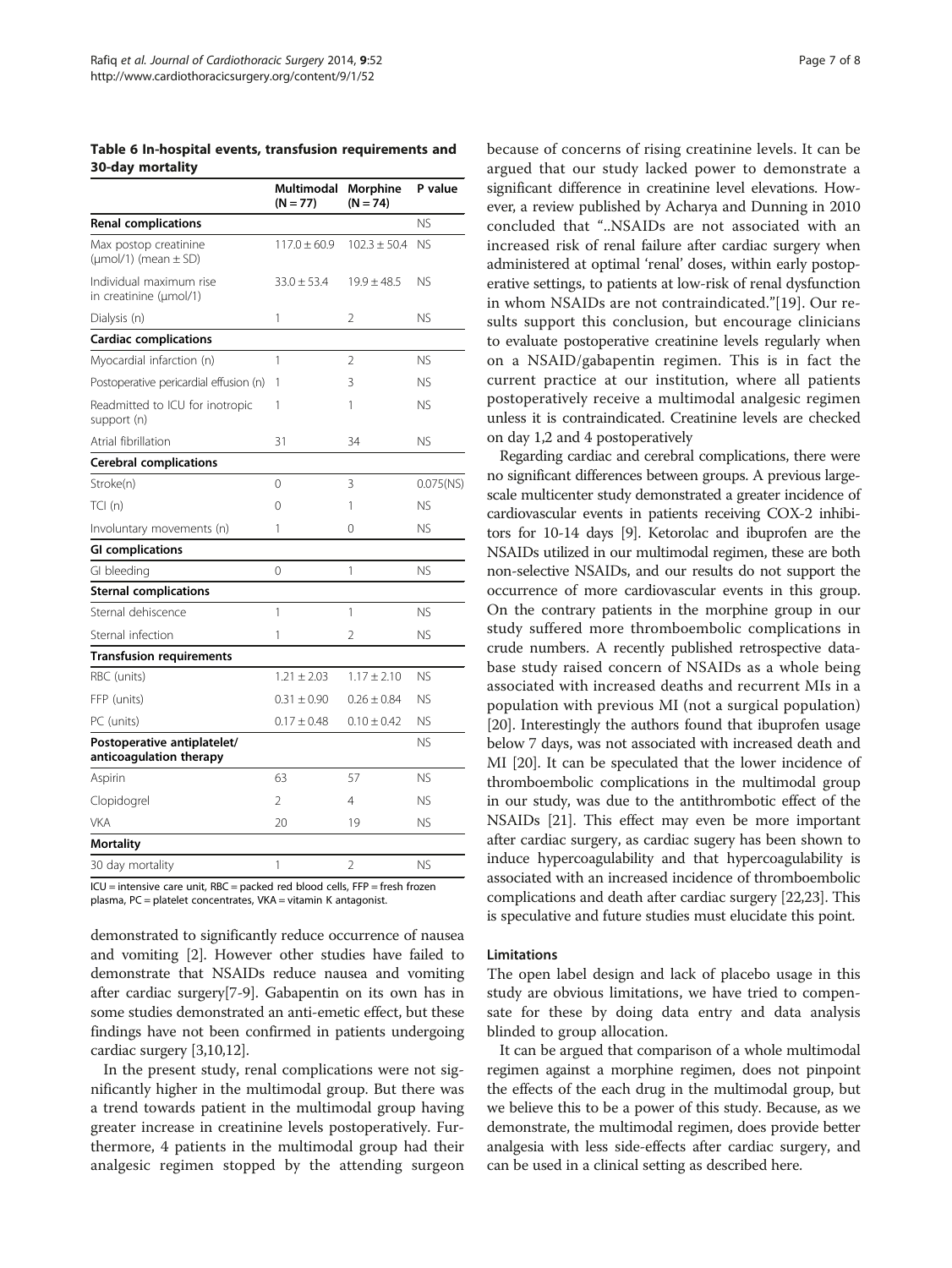<span id="page-6-0"></span>Table 6 In-hospital events, transfusion requirements and 30-day mortality

|                                                               | Multimodal<br>$(N = 77)$ | Morphine<br>$(N = 74)$ | P value      |
|---------------------------------------------------------------|--------------------------|------------------------|--------------|
| <b>Renal complications</b>                                    |                          |                        | NS.          |
| Max postop creatinine<br>$(\mu \text{mol}/1)$ (mean $\pm$ SD) | $117.0 \pm 60.9$         | $102.3 + 50.4$         | NS.          |
| Individual maximum rise<br>in creatinine (µmol/1)             | $33.0 \pm 53.4$          | $19.9 \pm 48.5$        | ΝS           |
| Dialysis (n)                                                  | 1                        | 2                      | ΝS           |
| <b>Cardiac complications</b>                                  |                          |                        |              |
| Myocardial infarction (n)                                     | 1                        | $\overline{2}$         | <b>NS</b>    |
| Postoperative pericardial effusion (n)                        | 1                        | 3                      | ΝS           |
| Readmitted to ICU for inotropic<br>support (n)                | 1                        | 1                      | ΝS           |
| Atrial fibrillation                                           | 31                       | 34                     | ΝS           |
| <b>Cerebral complications</b>                                 |                          |                        |              |
| Stroke(n)                                                     | $\Omega$                 | 3                      | $0.075$ (NS) |
| TCI(n)                                                        | $\Omega$                 | 1                      | ΝS           |
| Involuntary movements (n)                                     | 1                        | 0                      | ΝS           |
| <b>GI</b> complications                                       |                          |                        |              |
| GI bleeding                                                   | 0                        | 1                      | NS.          |
| <b>Sternal complications</b>                                  |                          |                        |              |
| Sternal dehiscence                                            | 1                        | 1                      | ΝS           |
| Sternal infection                                             | 1                        | 2                      | ΝS           |
| <b>Transfusion requirements</b>                               |                          |                        |              |
| RBC (units)                                                   | $1.21 \pm 2.03$          | $1.17 \pm 2.10$        | NS.          |
| FFP (units)                                                   | $0.31 \pm 0.90$          | $0.26 + 0.84$          | ΝS           |
| PC (units)                                                    | $0.17 \pm 0.48$          | $0.10 \pm 0.42$        | ΝS           |
| Postoperative antiplatelet/<br>anticoagulation therapy        |                          |                        | NS.          |
| Aspirin                                                       | 63                       | 57                     | <b>NS</b>    |
| Clopidogrel                                                   | $\mathfrak{D}$           | $\overline{4}$         | NS.          |
| <b>VKA</b>                                                    | 20                       | 19                     | ΝS           |
| <b>Mortality</b>                                              |                          |                        |              |
| 30 day mortality                                              | 1                        | $\overline{2}$         | <b>NS</b>    |

ICU = intensive care unit, RBC = packed red blood cells, FFP = fresh frozen plasma, PC = platelet concentrates, VKA = vitamin K antagonist.

demonstrated to significantly reduce occurrence of nausea and vomiting [[2](#page-7-0)]. However other studies have failed to demonstrate that NSAIDs reduce nausea and vomiting after cardiac surgery[[7-9\]](#page-7-0). Gabapentin on its own has in some studies demonstrated an anti-emetic effect, but these findings have not been confirmed in patients undergoing cardiac surgery [[3,10,12\]](#page-7-0).

In the present study, renal complications were not significantly higher in the multimodal group. But there was a trend towards patient in the multimodal group having greater increase in creatinine levels postoperatively. Furthermore, 4 patients in the multimodal group had their analgesic regimen stopped by the attending surgeon

because of concerns of rising creatinine levels. It can be argued that our study lacked power to demonstrate a significant difference in creatinine level elevations. However, a review published by Acharya and Dunning in 2010 concluded that "..NSAIDs are not associated with an increased risk of renal failure after cardiac surgery when administered at optimal 'renal' doses, within early postoperative settings, to patients at low-risk of renal dysfunction in whom NSAIDs are not contraindicated."[\[19\]](#page-7-0). Our results support this conclusion, but encourage clinicians to evaluate postoperative creatinine levels regularly when on a NSAID/gabapentin regimen. This is in fact the current practice at our institution, where all patients postoperatively receive a multimodal analgesic regimen unless it is contraindicated. Creatinine levels are checked on day 1,2 and 4 postoperatively

Regarding cardiac and cerebral complications, there were no significant differences between groups. A previous largescale multicenter study demonstrated a greater incidence of cardiovascular events in patients receiving COX-2 inhibitors for 10-14 days [\[9](#page-7-0)]. Ketorolac and ibuprofen are the NSAIDs utilized in our multimodal regimen, these are both non-selective NSAIDs, and our results do not support the occurrence of more cardiovascular events in this group. On the contrary patients in the morphine group in our study suffered more thromboembolic complications in crude numbers. A recently published retrospective database study raised concern of NSAIDs as a whole being associated with increased deaths and recurrent MIs in a population with previous MI (not a surgical population) [[20](#page-7-0)]. Interestingly the authors found that ibuprofen usage below 7 days, was not associated with increased death and MI [[20](#page-7-0)]. It can be speculated that the lower incidence of thromboembolic complications in the multimodal group in our study, was due to the antithrombotic effect of the NSAIDs [[21](#page-7-0)]. This effect may even be more important after cardiac surgery, as cardiac sugery has been shown to induce hypercoagulability and that hypercoagulability is associated with an increased incidence of thromboembolic complications and death after cardiac surgery [[22,23](#page-7-0)]. This is speculative and future studies must elucidate this point.

## Limitations

The open label design and lack of placebo usage in this study are obvious limitations, we have tried to compensate for these by doing data entry and data analysis blinded to group allocation.

It can be argued that comparison of a whole multimodal regimen against a morphine regimen, does not pinpoint the effects of the each drug in the multimodal group, but we believe this to be a power of this study. Because, as we demonstrate, the multimodal regimen, does provide better analgesia with less side-effects after cardiac surgery, and can be used in a clinical setting as described here.